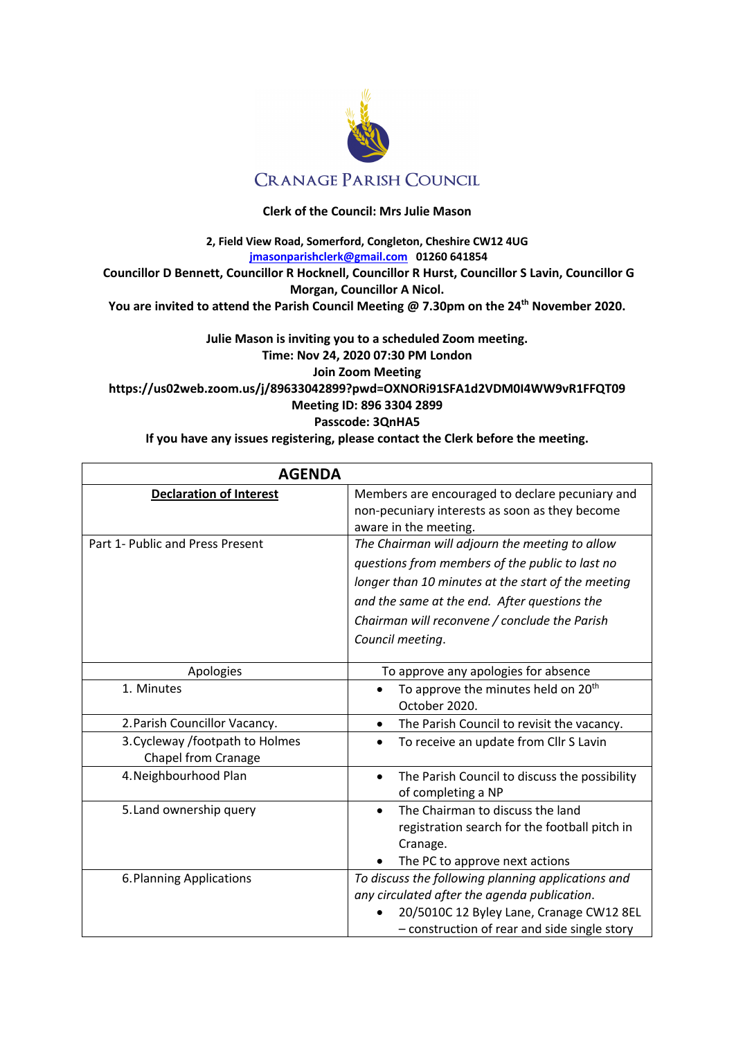

## **Clerk of the Council: Mrs Julie Mason**

**2, Field View Road, Somerford, Congleton, Cheshire CW12 4UG jmasonparishclerk@gmail.com 01260 641854 Councillor D Bennett, Councillor R Hocknell, Councillor R Hurst, Councillor S Lavin, Councillor G Morgan, Councillor A Nicol. You are invited to attend the Parish Council Meeting @ 7.30pm on the 24th November 2020.**

## **Julie Mason is inviting you to a scheduled Zoom meeting. Time: Nov 24, 2020 07:30 PM London Join Zoom Meeting https://us02web.zoom.us/j/89633042899?pwd=OXNORi91SFA1d2VDM0I4WW9vR1FFQT09 Meeting ID: 896 3304 2899 Passcode: 3QnHA5**

**If you have any issues registering, please contact the Clerk before the meeting.**

| <b>AGENDA</b>                                          |                                                                                                                                                                                                                                                                              |
|--------------------------------------------------------|------------------------------------------------------------------------------------------------------------------------------------------------------------------------------------------------------------------------------------------------------------------------------|
| <b>Declaration of Interest</b>                         | Members are encouraged to declare pecuniary and<br>non-pecuniary interests as soon as they become<br>aware in the meeting.                                                                                                                                                   |
| Part 1- Public and Press Present                       | The Chairman will adjourn the meeting to allow<br>questions from members of the public to last no<br>longer than 10 minutes at the start of the meeting<br>and the same at the end. After questions the<br>Chairman will reconvene / conclude the Parish<br>Council meeting. |
| Apologies                                              | To approve any apologies for absence                                                                                                                                                                                                                                         |
| 1. Minutes                                             | To approve the minutes held on 20 <sup>th</sup><br>October 2020.                                                                                                                                                                                                             |
| 2. Parish Councillor Vacancy.                          | The Parish Council to revisit the vacancy.                                                                                                                                                                                                                                   |
| 3. Cycleway /footpath to Holmes<br>Chapel from Cranage | To receive an update from Cllr S Lavin                                                                                                                                                                                                                                       |
| 4. Neighbourhood Plan                                  | The Parish Council to discuss the possibility<br>$\bullet$<br>of completing a NP                                                                                                                                                                                             |
| 5. Land ownership query                                | The Chairman to discuss the land<br>registration search for the football pitch in<br>Cranage.<br>The PC to approve next actions                                                                                                                                              |
| 6. Planning Applications                               | To discuss the following planning applications and<br>any circulated after the agenda publication.<br>20/5010C 12 Byley Lane, Cranage CW12 8EL<br>- construction of rear and side single story                                                                               |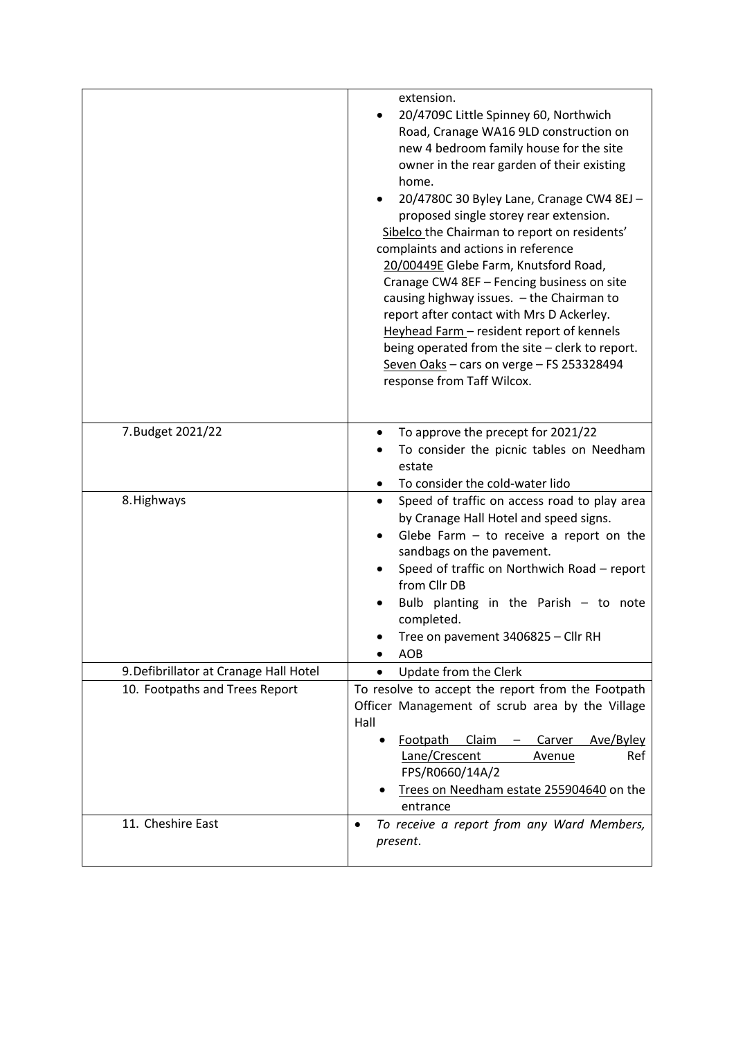|                                        | extension.<br>20/4709C Little Spinney 60, Northwich<br>Road, Cranage WA16 9LD construction on<br>new 4 bedroom family house for the site<br>owner in the rear garden of their existing<br>home.<br>20/4780C 30 Byley Lane, Cranage CW4 8EJ -<br>proposed single storey rear extension.<br>Sibelco the Chairman to report on residents'<br>complaints and actions in reference<br>20/00449E Glebe Farm, Knutsford Road,<br>Cranage CW4 8EF - Fencing business on site<br>causing highway issues. - the Chairman to<br>report after contact with Mrs D Ackerley.<br>Heyhead Farm - resident report of kennels<br>being operated from the site - clerk to report.<br>Seven Oaks - cars on verge - FS 253328494<br>response from Taff Wilcox. |
|----------------------------------------|-------------------------------------------------------------------------------------------------------------------------------------------------------------------------------------------------------------------------------------------------------------------------------------------------------------------------------------------------------------------------------------------------------------------------------------------------------------------------------------------------------------------------------------------------------------------------------------------------------------------------------------------------------------------------------------------------------------------------------------------|
| 7. Budget 2021/22                      | To approve the precept for 2021/22<br>٠<br>To consider the picnic tables on Needham<br>estate<br>To consider the cold-water lido                                                                                                                                                                                                                                                                                                                                                                                                                                                                                                                                                                                                          |
| 8. Highways                            | Speed of traffic on access road to play area<br>$\bullet$<br>by Cranage Hall Hotel and speed signs.<br>Glebe Farm $-$ to receive a report on the<br>$\bullet$<br>sandbags on the pavement.<br>Speed of traffic on Northwich Road - report<br>from Cllr DB<br>Bulb planting in the Parish $-$ to note<br>completed.<br>Tree on pavement 3406825 - Cllr RH<br>AOB<br>$\bullet$                                                                                                                                                                                                                                                                                                                                                              |
| 9. Defibrillator at Cranage Hall Hotel | Update from the Clerk                                                                                                                                                                                                                                                                                                                                                                                                                                                                                                                                                                                                                                                                                                                     |
| 10. Footpaths and Trees Report         | To resolve to accept the report from the Footpath<br>Officer Management of scrub area by the Village<br>Hall<br>Footpath<br>Claim<br>Carver<br>Ave/Byley<br>Lane/Crescent<br>Ref<br><b>Avenue</b><br>FPS/R0660/14A/2<br>Trees on Needham estate 255904640 on the<br>entrance                                                                                                                                                                                                                                                                                                                                                                                                                                                              |
| 11. Cheshire East                      | To receive a report from any Ward Members,<br>٠<br>present.                                                                                                                                                                                                                                                                                                                                                                                                                                                                                                                                                                                                                                                                               |